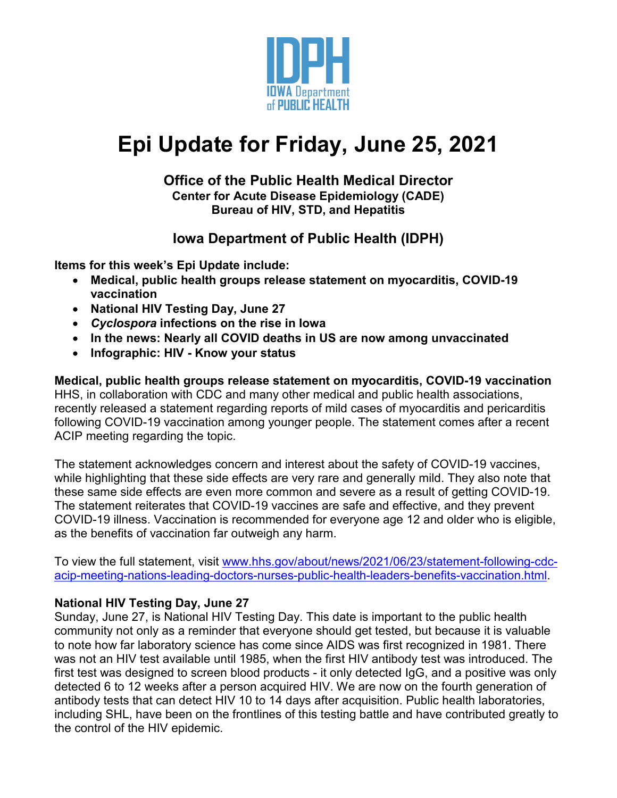

# **Epi Update for Friday, June 25, 2021**

#### **Office of the Public Health Medical Director Center for Acute Disease Epidemiology (CADE) Bureau of HIV, STD, and Hepatitis**

## **Iowa Department of Public Health (IDPH)**

**Items for this week's Epi Update include:**

- **Medical, public health groups release statement on myocarditis, COVID-19 vaccination**
- **National HIV Testing Day, June 27**
- *Cyclospora* **infections on the rise in Iowa**
- **In the news: Nearly all COVID deaths in US are now among unvaccinated**
- **Infographic: HIV - Know your status**

**Medical, public health groups release statement on myocarditis, COVID-19 vaccination** HHS, in collaboration with CDC and many other medical and public health associations, recently released a statement regarding reports of mild cases of myocarditis and pericarditis following COVID-19 vaccination among younger people. The statement comes after a recent ACIP meeting regarding the topic.

The statement acknowledges concern and interest about the safety of COVID-19 vaccines, while highlighting that these side effects are very rare and generally mild. They also note that these same side effects are even more common and severe as a result of getting COVID-19. The statement reiterates that COVID-19 vaccines are safe and effective, and they prevent COVID-19 illness. Vaccination is recommended for everyone age 12 and older who is eligible, as the benefits of vaccination far outweigh any harm.

To view the full statement, visit [www.hhs.gov/about/news/2021/06/23/statement-following-cdc](http://www.hhs.gov/about/news/2021/06/23/statement-following-cdc-acip-meeting-nations-leading-doctors-nurses-public-health-leaders-benefits-vaccination.html)[acip-meeting-nations-leading-doctors-nurses-public-health-leaders-benefits-vaccination.html.](http://www.hhs.gov/about/news/2021/06/23/statement-following-cdc-acip-meeting-nations-leading-doctors-nurses-public-health-leaders-benefits-vaccination.html)

#### **National HIV Testing Day, June 27**

Sunday, June 27, is National HIV Testing Day. This date is important to the public health community not only as a reminder that everyone should get tested, but because it is valuable to note how far laboratory science has come since AIDS was first recognized in 1981. There was not an HIV test available until 1985, when the first HIV antibody test was introduced. The first test was designed to screen blood products - it only detected IgG, and a positive was only detected 6 to 12 weeks after a person acquired HIV. We are now on the fourth generation of antibody tests that can detect HIV 10 to 14 days after acquisition. Public health laboratories, including SHL, have been on the frontlines of this testing battle and have contributed greatly to the control of the HIV epidemic.